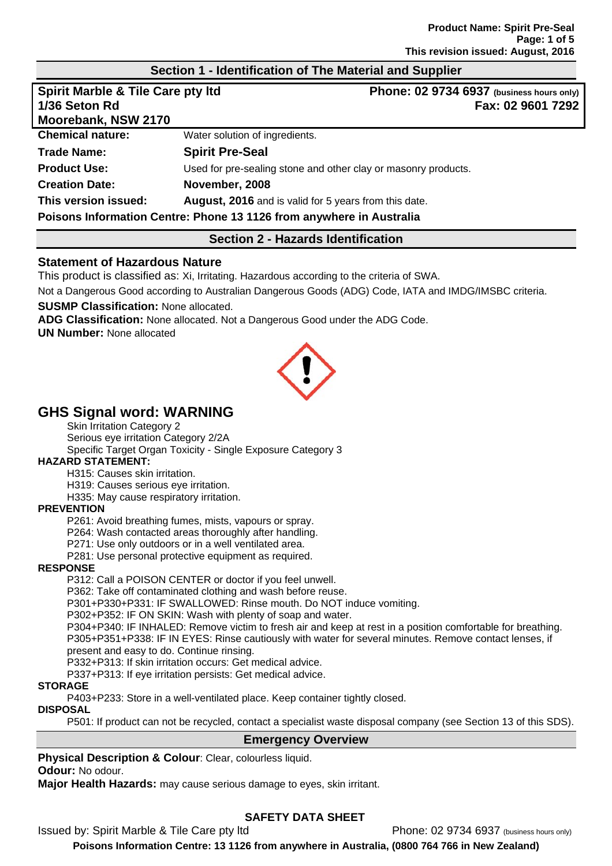## **Section 1 - Identification of The Material and Supplier**

| <b>Spirit Marble &amp; Tile Care pty Itd</b><br>1/36 Seton Rd<br>Moorebank, NSW 2170 |                                                                      | Phone: 02 9734 6937 (business hours only)<br>Fax: 02 9601 7292 |
|--------------------------------------------------------------------------------------|----------------------------------------------------------------------|----------------------------------------------------------------|
| <b>Chemical nature:</b>                                                              | Water solution of ingredients.                                       |                                                                |
| <b>Trade Name:</b>                                                                   | <b>Spirit Pre-Seal</b>                                               |                                                                |
| <b>Product Use:</b>                                                                  |                                                                      | Used for pre-sealing stone and other clay or masonry products. |
| <b>Creation Date:</b>                                                                | November, 2008                                                       |                                                                |
| This version issued:                                                                 | August, 2016 and is valid for 5 years from this date.                |                                                                |
|                                                                                      | Poisons Information Centre: Phone 13 1126 from anywhere in Australia |                                                                |

## **Section 2 - Hazards Identification**

#### **Statement of Hazardous Nature**

This product is classified as: Xi, Irritating. Hazardous according to the criteria of SWA.

Not a Dangerous Good according to Australian Dangerous Goods (ADG) Code, IATA and IMDG/IMSBC criteria.

**SUSMP Classification:** None allocated.

**ADG Classification:** None allocated. Not a Dangerous Good under the ADG Code.

**UN Number:** None allocated



# **GHS Signal word: WARNING**

Skin Irritation Category 2 Serious eye irritation Category 2/2A Specific Target Organ Toxicity - Single Exposure Category 3

#### **HAZARD STATEMENT:**

H315: Causes skin irritation.

H319: Causes serious eye irritation.

H335: May cause respiratory irritation.

#### **PREVENTION**

P261: Avoid breathing fumes, mists, vapours or spray.

P264: Wash contacted areas thoroughly after handling.

P271: Use only outdoors or in a well ventilated area.

P281: Use personal protective equipment as required.

#### **RESPONSE**

P312: Call a POISON CENTER or doctor if you feel unwell.

P362: Take off contaminated clothing and wash before reuse.

P301+P330+P331: IF SWALLOWED: Rinse mouth. Do NOT induce vomiting.

P302+P352: IF ON SKIN: Wash with plenty of soap and water.

P304+P340: IF INHALED: Remove victim to fresh air and keep at rest in a position comfortable for breathing. P305+P351+P338: IF IN EYES: Rinse cautiously with water for several minutes. Remove contact lenses, if present and easy to do. Continue rinsing.

P332+P313: If skin irritation occurs: Get medical advice.

P337+P313: If eye irritation persists: Get medical advice.

#### **STORAGE**

P403+P233: Store in a well-ventilated place. Keep container tightly closed.

#### **DISPOSAL**

P501: If product can not be recycled, contact a specialist waste disposal company (see Section 13 of this SDS).

#### **Emergency Overview**

**Physical Description & Colour**: Clear, colourless liquid.

**Odour:** No odour.

**Major Health Hazards:** may cause serious damage to eyes, skin irritant.

# **SAFETY DATA SHEET**

Issued by: Spirit Marble & Tile Care pty ltd Phone: 02 9734 6937 (business hours only)

**Poisons Information Centre: 13 1126 from anywhere in Australia, (0800 764 766 in New Zealand)**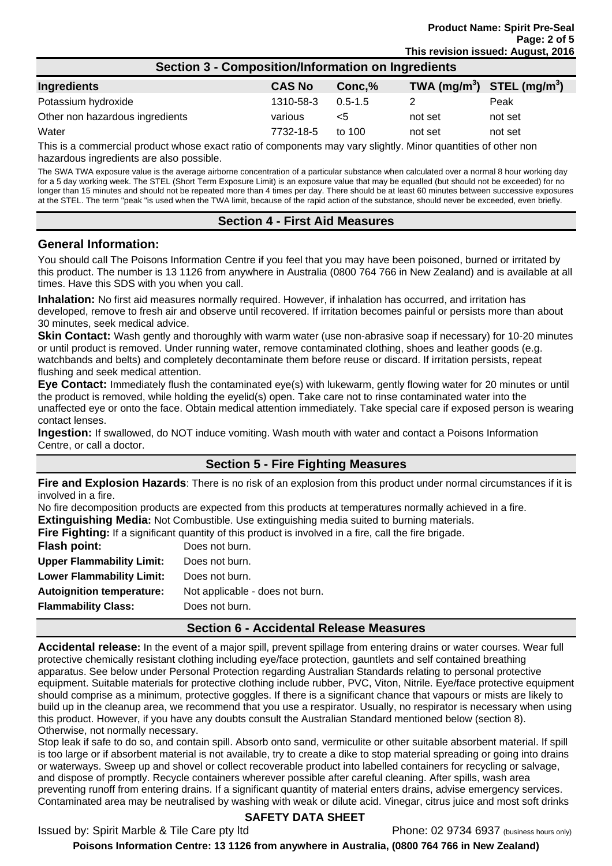| Section 3 - Composition/Information on Ingredients |               |             |                                |         |
|----------------------------------------------------|---------------|-------------|--------------------------------|---------|
| Ingredients                                        | <b>CAS No</b> | Conc.%      | TWA $(mg/m^3)$ STEL $(mg/m^3)$ |         |
| Potassium hydroxide                                | 1310-58-3     | $0.5 - 1.5$ |                                | Peak    |
| Other non hazardous ingredients                    | various       | $<$ 5       | not set                        | not set |
| Water                                              | 7732-18-5     | to $100$    | not set                        | not set |

This is a commercial product whose exact ratio of components may vary slightly. Minor quantities of other non hazardous ingredients are also possible.

The SWA TWA exposure value is the average airborne concentration of a particular substance when calculated over a normal 8 hour working day for a 5 day working week. The STEL (Short Term Exposure Limit) is an exposure value that may be equalled (but should not be exceeded) for no longer than 15 minutes and should not be repeated more than 4 times per day. There should be at least 60 minutes between successive exposures at the STEL. The term "peak "is used when the TWA limit, because of the rapid action of the substance, should never be exceeded, even briefly.

## **Section 4 - First Aid Measures**

#### **General Information:**

You should call The Poisons Information Centre if you feel that you may have been poisoned, burned or irritated by this product. The number is 13 1126 from anywhere in Australia (0800 764 766 in New Zealand) and is available at all times. Have this SDS with you when you call.

**Inhalation:** No first aid measures normally required. However, if inhalation has occurred, and irritation has developed, remove to fresh air and observe until recovered. If irritation becomes painful or persists more than about 30 minutes, seek medical advice.

**Skin Contact:** Wash gently and thoroughly with warm water (use non-abrasive soap if necessary) for 10-20 minutes or until product is removed. Under running water, remove contaminated clothing, shoes and leather goods (e.g. watchbands and belts) and completely decontaminate them before reuse or discard. If irritation persists, repeat flushing and seek medical attention.

**Eye Contact:** Immediately flush the contaminated eye(s) with lukewarm, gently flowing water for 20 minutes or until the product is removed, while holding the eyelid(s) open. Take care not to rinse contaminated water into the unaffected eye or onto the face. Obtain medical attention immediately. Take special care if exposed person is wearing contact lenses.

**Ingestion:** If swallowed, do NOT induce vomiting. Wash mouth with water and contact a Poisons Information Centre, or call a doctor.

# **Section 5 - Fire Fighting Measures**

**Fire and Explosion Hazards**: There is no risk of an explosion from this product under normal circumstances if it is involved in a fire.

No fire decomposition products are expected from this products at temperatures normally achieved in a fire. **Extinguishing Media:** Not Combustible. Use extinguishing media suited to burning materials.

**Fire Fighting:** If a significant quantity of this product is involved in a fire, call the fire brigade.

| Flash point:                     | Does not burn.                  |
|----------------------------------|---------------------------------|
| <b>Upper Flammability Limit:</b> | Does not burn.                  |
| <b>Lower Flammability Limit:</b> | Does not burn.                  |
| <b>Autoignition temperature:</b> | Not applicable - does not burn. |
| <b>Flammability Class:</b>       | Does not burn.                  |
|                                  |                                 |

#### **Section 6 - Accidental Release Measures**

**Accidental release:** In the event of a major spill, prevent spillage from entering drains or water courses. Wear full protective chemically resistant clothing including eye/face protection, gauntlets and self contained breathing apparatus. See below under Personal Protection regarding Australian Standards relating to personal protective equipment. Suitable materials for protective clothing include rubber, PVC, Viton, Nitrile. Eye/face protective equipment should comprise as a minimum, protective goggles. If there is a significant chance that vapours or mists are likely to build up in the cleanup area, we recommend that you use a respirator. Usually, no respirator is necessary when using this product. However, if you have any doubts consult the Australian Standard mentioned below (section 8). Otherwise, not normally necessary.

Stop leak if safe to do so, and contain spill. Absorb onto sand, vermiculite or other suitable absorbent material. If spill is too large or if absorbent material is not available, try to create a dike to stop material spreading or going into drains or waterways. Sweep up and shovel or collect recoverable product into labelled containers for recycling or salvage, and dispose of promptly. Recycle containers wherever possible after careful cleaning. After spills, wash area preventing runoff from entering drains. If a significant quantity of material enters drains, advise emergency services. Contaminated area may be neutralised by washing with weak or dilute acid. Vinegar, citrus juice and most soft drinks

## **SAFETY DATA SHEET**

Issued by: Spirit Marble & Tile Care pty ltd Phone: 02 9734 6937 (business hours only)

**Poisons Information Centre: 13 1126 from anywhere in Australia, (0800 764 766 in New Zealand)**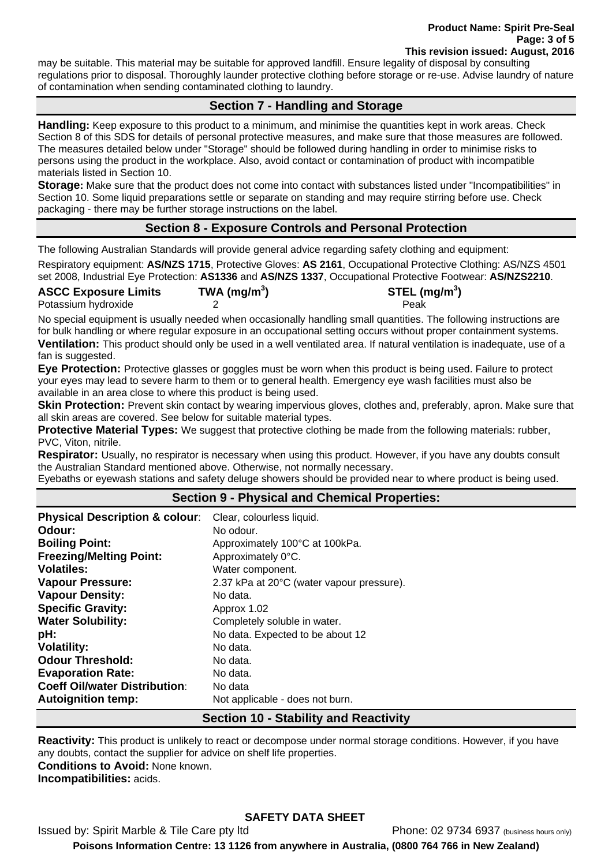may be suitable. This material may be suitable for approved landfill. Ensure legality of disposal by consulting regulations prior to disposal. Thoroughly launder protective clothing before storage or re-use. Advise laundry of nature of contamination when sending contaminated clothing to laundry.

# **Section 7 - Handling and Storage**

**Handling:** Keep exposure to this product to a minimum, and minimise the quantities kept in work areas. Check Section 8 of this SDS for details of personal protective measures, and make sure that those measures are followed. The measures detailed below under "Storage" should be followed during handling in order to minimise risks to persons using the product in the workplace. Also, avoid contact or contamination of product with incompatible materials listed in Section 10.

**Storage:** Make sure that the product does not come into contact with substances listed under "Incompatibilities" in Section 10. Some liquid preparations settle or separate on standing and may require stirring before use. Check packaging - there may be further storage instructions on the label.

# **Section 8 - Exposure Controls and Personal Protection**

The following Australian Standards will provide general advice regarding safety clothing and equipment: Respiratory equipment: **AS/NZS 1715**, Protective Gloves: **AS 2161**, Occupational Protective Clothing: AS/NZS 4501 set 2008, Industrial Eye Protection: **AS1336** and **AS/NZS 1337**, Occupational Protective Footwear: **AS/NZS2210**.

| <b>ASCC Exposure Limits</b> | TWA (mg/m $3$ ) | STEL (mg/m $3$ ) |
|-----------------------------|-----------------|------------------|
| Potassium hydroxide         |                 | Peak             |

No special equipment is usually needed when occasionally handling small quantities. The following instructions are for bulk handling or where regular exposure in an occupational setting occurs without proper containment systems. **Ventilation:** This product should only be used in a well ventilated area. If natural ventilation is inadequate, use of a fan is suggested.

**Eye Protection:** Protective glasses or goggles must be worn when this product is being used. Failure to protect your eyes may lead to severe harm to them or to general health. Emergency eye wash facilities must also be available in an area close to where this product is being used.

**Skin Protection:** Prevent skin contact by wearing impervious gloves, clothes and, preferably, apron. Make sure that all skin areas are covered. See below for suitable material types.

**Protective Material Types:** We suggest that protective clothing be made from the following materials: rubber, PVC, Viton, nitrile.

**Respirator:** Usually, no respirator is necessary when using this product. However, if you have any doubts consult the Australian Standard mentioned above. Otherwise, not normally necessary.

Eyebaths or eyewash stations and safety deluge showers should be provided near to where product is being used.

## **Section 9 - Physical and Chemical Properties:**

| <b>Physical Description &amp; colour:</b> | Clear, colourless liquid.                 |
|-------------------------------------------|-------------------------------------------|
| Odour:                                    | No odour.                                 |
| <b>Boiling Point:</b>                     | Approximately 100°C at 100kPa.            |
| <b>Freezing/Melting Point:</b>            | Approximately 0°C.                        |
| <b>Volatiles:</b>                         | Water component.                          |
| <b>Vapour Pressure:</b>                   | 2.37 kPa at 20°C (water vapour pressure). |
| <b>Vapour Density:</b>                    | No data.                                  |
| <b>Specific Gravity:</b>                  | Approx 1.02                               |
| <b>Water Solubility:</b>                  | Completely soluble in water.              |
| pH:                                       | No data. Expected to be about 12          |
| <b>Volatility:</b>                        | No data.                                  |
| <b>Odour Threshold:</b>                   | No data.                                  |
| <b>Evaporation Rate:</b>                  | No data.                                  |
| <b>Coeff Oil/water Distribution:</b>      | No data                                   |
| <b>Autoignition temp:</b>                 | Not applicable - does not burn.           |

#### **Section 10 - Stability and Reactivity**

**Reactivity:** This product is unlikely to react or decompose under normal storage conditions. However, if you have any doubts, contact the supplier for advice on shelf life properties. **Conditions to Avoid:** None known.

**Incompatibilities:** acids.

# **SAFETY DATA SHEET**

Issued by: Spirit Marble & Tile Care pty ltd Phone: 02 9734 6937 (business hours only) **Poisons Information Centre: 13 1126 from anywhere in Australia, (0800 764 766 in New Zealand)**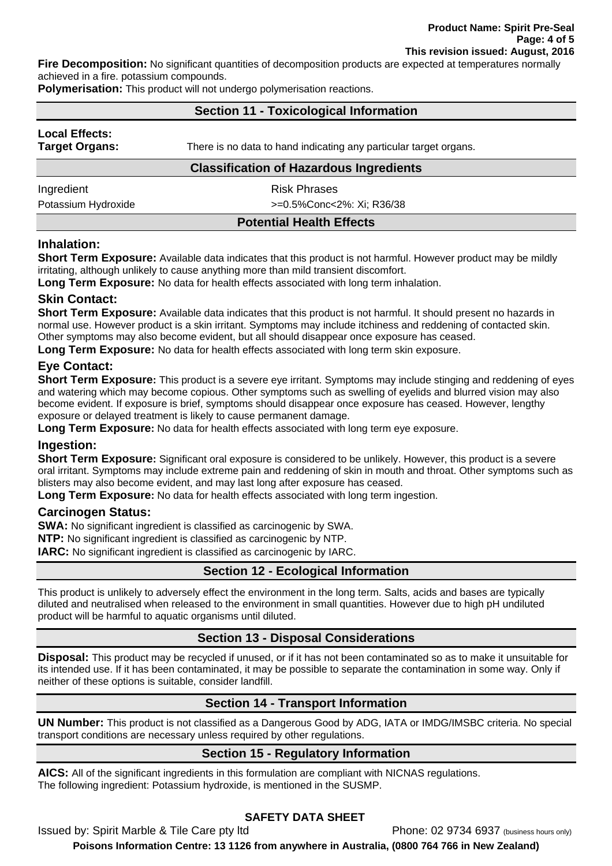**Fire Decomposition:** No significant quantities of decomposition products are expected at temperatures normally achieved in a fire. potassium compounds.

**Polymerisation:** This product will not undergo polymerisation reactions.

## **Section 11 - Toxicological Information**

| <b>Local Effects:</b> |
|-----------------------|
| Target Organs:        |

**There is no data to hand indicating any particular target organs. There is no data to hand indicating any particular target organs.** 

## **Classification of Hazardous Ingredients**

Ingredient **Risk Phrases** 

Potassium Hydroxide  $\rightarrow$   $=$ 0.5%Conc<2%: Xi; R36/38

**Potential Health Effects** 

## **Inhalation:**

**Short Term Exposure:** Available data indicates that this product is not harmful. However product may be mildly irritating, although unlikely to cause anything more than mild transient discomfort.

**Long Term Exposure:** No data for health effects associated with long term inhalation.

## **Skin Contact:**

**Short Term Exposure:** Available data indicates that this product is not harmful. It should present no hazards in normal use. However product is a skin irritant. Symptoms may include itchiness and reddening of contacted skin. Other symptoms may also become evident, but all should disappear once exposure has ceased.

**Long Term Exposure:** No data for health effects associated with long term skin exposure.

## **Eye Contact:**

**Short Term Exposure:** This product is a severe eye irritant. Symptoms may include stinging and reddening of eyes and watering which may become copious. Other symptoms such as swelling of eyelids and blurred vision may also become evident. If exposure is brief, symptoms should disappear once exposure has ceased. However, lengthy exposure or delayed treatment is likely to cause permanent damage.

Long Term Exposure: No data for health effects associated with long term eye exposure.

## **Ingestion:**

**Short Term Exposure:** Significant oral exposure is considered to be unlikely. However, this product is a severe oral irritant. Symptoms may include extreme pain and reddening of skin in mouth and throat. Other symptoms such as blisters may also become evident, and may last long after exposure has ceased.

**Long Term Exposure:** No data for health effects associated with long term ingestion.

## **Carcinogen Status:**

**SWA:** No significant ingredient is classified as carcinogenic by SWA.

**NTP:** No significant ingredient is classified as carcinogenic by NTP.

**IARC:** No significant ingredient is classified as carcinogenic by IARC.

# **Section 12 - Ecological Information**

This product is unlikely to adversely effect the environment in the long term. Salts, acids and bases are typically diluted and neutralised when released to the environment in small quantities. However due to high pH undiluted product will be harmful to aquatic organisms until diluted.

# **Section 13 - Disposal Considerations**

**Disposal:** This product may be recycled if unused, or if it has not been contaminated so as to make it unsuitable for its intended use. If it has been contaminated, it may be possible to separate the contamination in some way. Only if neither of these options is suitable, consider landfill.

# **Section 14 - Transport Information**

**UN Number:** This product is not classified as a Dangerous Good by ADG, IATA or IMDG/IMSBC criteria. No special transport conditions are necessary unless required by other regulations.

# **Section 15 - Regulatory Information**

**AICS:** All of the significant ingredients in this formulation are compliant with NICNAS regulations. The following ingredient: Potassium hydroxide, is mentioned in the SUSMP.

# **SAFETY DATA SHEET**

Issued by: Spirit Marble & Tile Care pty ltd Phone: 02 9734 6937 (business hours only)

**Poisons Information Centre: 13 1126 from anywhere in Australia, (0800 764 766 in New Zealand)**